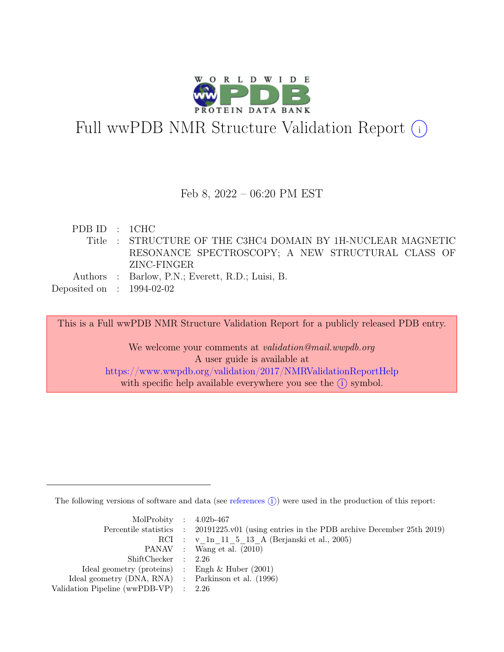

# Full wwPDB NMR Structure Validation Report  $(i)$

### Feb 8, 2022 – 06:20 PM EST

PDB ID : 1CHC Title : STRUCTURE OF THE C3HC4 DOMAIN BY 1H-NUCLEAR MAGNETIC RESONANCE SPECTROSCOPY; A NEW STRUCTURAL CLASS OF ZINC-FINGER Authors : Barlow, P.N.; Everett, R.D.; Luisi, B.

Deposited on : 1994-02-02

This is a Full wwPDB NMR Structure Validation Report for a publicly released PDB entry.

We welcome your comments at *validation@mail.wwpdb.org* A user guide is available at <https://www.wwpdb.org/validation/2017/NMRValidationReportHelp> with specific help available everywhere you see the  $(i)$  symbol.

The following versions of software and data (see [references](https://www.wwpdb.org/validation/2017/NMRValidationReportHelp#references)  $(i)$ ) were used in the production of this report:

| MolProbity : $4.02b-467$                            |                                                                                            |
|-----------------------------------------------------|--------------------------------------------------------------------------------------------|
|                                                     | Percentile statistics : 20191225.v01 (using entries in the PDB archive December 25th 2019) |
|                                                     | RCI : v 1n 11 5 13 A (Berjanski et al., 2005)                                              |
|                                                     | PANAV : Wang et al. (2010)                                                                 |
| ShiftChecker : 2.26                                 |                                                                                            |
| Ideal geometry (proteins) : Engh $\&$ Huber (2001)  |                                                                                            |
| Ideal geometry (DNA, RNA) : Parkinson et al. (1996) |                                                                                            |
| Validation Pipeline (wwPDB-VP) $\therefore$ 2.26    |                                                                                            |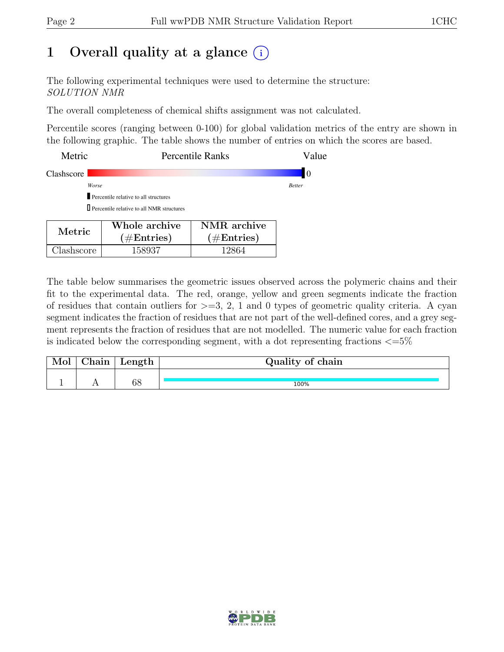# 1 Overall quality at a glance  $(i)$

The following experimental techniques were used to determine the structure: SOLUTION NMR

The overall completeness of chemical shifts assignment was not calculated.

Percentile scores (ranging between 0-100) for global validation metrics of the entry are shown in the following graphic. The table shows the number of entries on which the scores are based.

| Metric     |                                                  | <b>Percentile Ranks</b>                      | Value         |
|------------|--------------------------------------------------|----------------------------------------------|---------------|
| Clashscore |                                                  |                                              | 10            |
|            | Worse                                            |                                              | <b>Better</b> |
|            | Percentile relative to all structures            |                                              |               |
|            | $\Box$ Percentile relative to all NMR structures |                                              |               |
| Metric     | Whole archive<br>$(1/\mathbf{E}_{\text{sub}})$   | NMR archive<br>$(1/\mathbf{E}_{\text{ref}})$ |               |

 $(\#\text{Entries})$ 

Clashscore 158937 12864

The table below summarises the geometric issues observed across the polymeric chains and their fit to the experimental data. The red, orange, yellow and green segments indicate the fraction of residues that contain outliers for  $>=$  3, 2, 1 and 0 types of geometric quality criteria. A cyan segment indicates the fraction of residues that are not part of the well-defined cores, and a grey segment represents the fraction of residues that are not modelled. The numeric value for each fraction is indicated below the corresponding segment, with a dot representing fractions  $\epsilon = 5\%$ 

 $(\#\text{Entries})$ 

| Mol | hain. | Length | Quality of chain |
|-----|-------|--------|------------------|
|     |       |        |                  |
|     |       | 68     | 100%             |

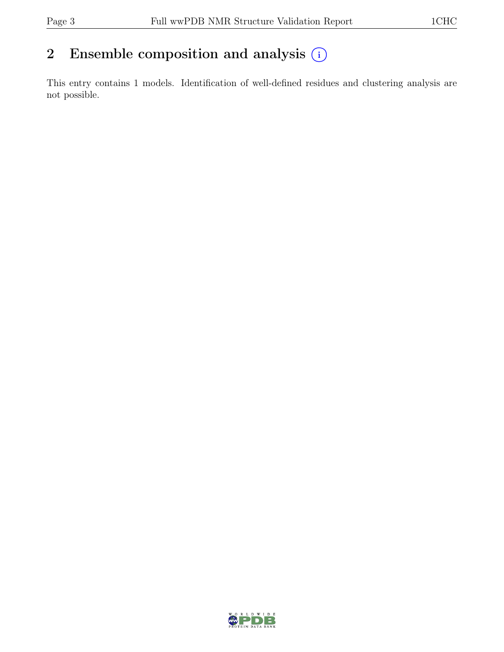# 2 Ensemble composition and analysis  $(i)$

This entry contains 1 models. Identification of well-defined residues and clustering analysis are not possible.

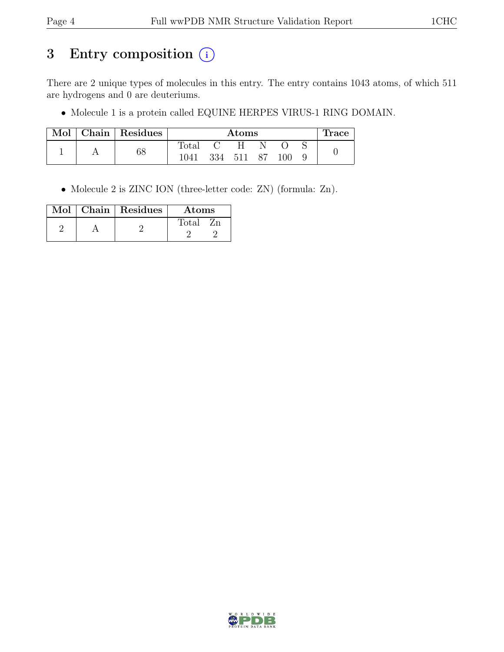# 3 Entry composition (i)

There are 2 unique types of molecules in this entry. The entry contains 1043 atoms, of which 511 are hydrogens and 0 are deuteriums.

• Molecule 1 is a protein called EQUINE HERPES VIRUS-1 RING DOMAIN.

| Mol | Chain   Residues | $\rm{Atoms}$ |     |      |  |     | <b>Trace</b> |  |
|-----|------------------|--------------|-----|------|--|-----|--------------|--|
|     |                  | Total        |     |      |  |     |              |  |
|     | 68               | 1041         | 334 | -511 |  | .00 |              |  |

• Molecule 2 is ZINC ION (three-letter code: ZN) (formula: Zn).

| Mol | Chain   Residues | Atoms  |
|-----|------------------|--------|
|     |                  | Total: |
|     |                  |        |

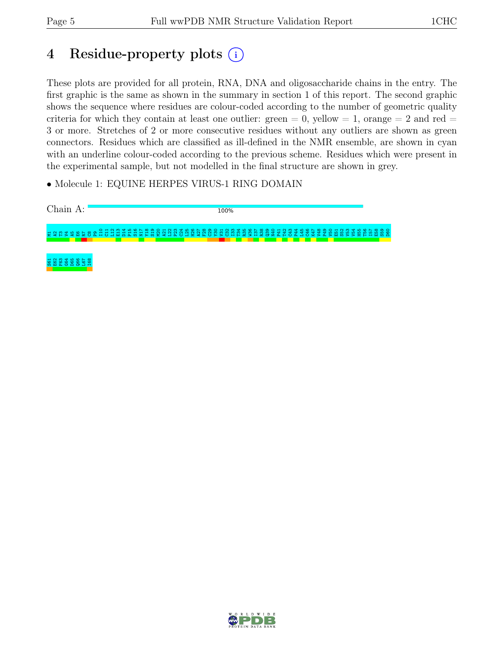# 4 Residue-property plots (i)

These plots are provided for all protein, RNA, DNA and oligosaccharide chains in the entry. The first graphic is the same as shown in the summary in section 1 of this report. The second graphic shows the sequence where residues are colour-coded according to the number of geometric quality criteria for which they contain at least one outlier: green  $= 0$ , yellow  $= 1$ , orange  $= 2$  and red  $=$ 3 or more. Stretches of 2 or more consecutive residues without any outliers are shown as green connectors. Residues which are classified as ill-defined in the NMR ensemble, are shown in cyan with an underline colour-coded according to the previous scheme. Residues which were present in the experimental sample, but not modelled in the final structure are shown in grey.

• Molecule 1: EQUINE HERPES VIRUS-1 RING DOMAIN



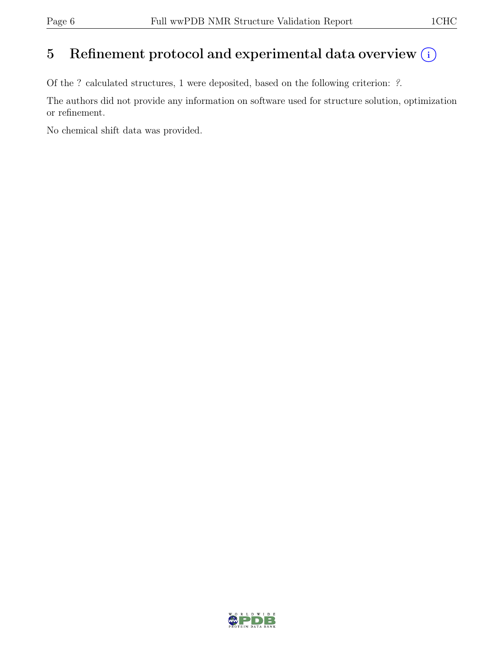## 5 Refinement protocol and experimental data overview  $(i)$

Of the ? calculated structures, 1 were deposited, based on the following criterion: ?.

The authors did not provide any information on software used for structure solution, optimization or refinement.

No chemical shift data was provided.

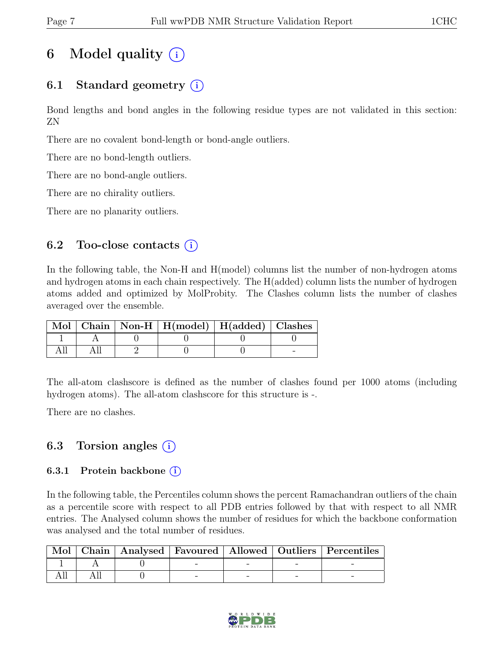# 6 Model quality  $(i)$

## 6.1 Standard geometry  $(i)$

Bond lengths and bond angles in the following residue types are not validated in this section: ZN

There are no covalent bond-length or bond-angle outliers.

There are no bond-length outliers.

There are no bond-angle outliers.

There are no chirality outliers.

There are no planarity outliers.

### 6.2 Too-close contacts  $(i)$

In the following table, the Non-H and H(model) columns list the number of non-hydrogen atoms and hydrogen atoms in each chain respectively. The H(added) column lists the number of hydrogen atoms added and optimized by MolProbity. The Clashes column lists the number of clashes averaged over the ensemble.

|  | Mol   Chain   Non-H   H(model)   H(added)   Clashes |  |
|--|-----------------------------------------------------|--|
|  |                                                     |  |
|  |                                                     |  |

The all-atom clashscore is defined as the number of clashes found per 1000 atoms (including hydrogen atoms). The all-atom clashscore for this structure is -.

There are no clashes.

### 6.3 Torsion angles  $(i)$

#### 6.3.1 Protein backbone  $(i)$

In the following table, the Percentiles column shows the percent Ramachandran outliers of the chain as a percentile score with respect to all PDB entries followed by that with respect to all NMR entries. The Analysed column shows the number of residues for which the backbone conformation was analysed and the total number of residues.

|  |  |  | Mol   Chain   Analysed   Favoured   Allowed   Outliers   Percentiles |
|--|--|--|----------------------------------------------------------------------|
|  |  |  |                                                                      |
|  |  |  |                                                                      |

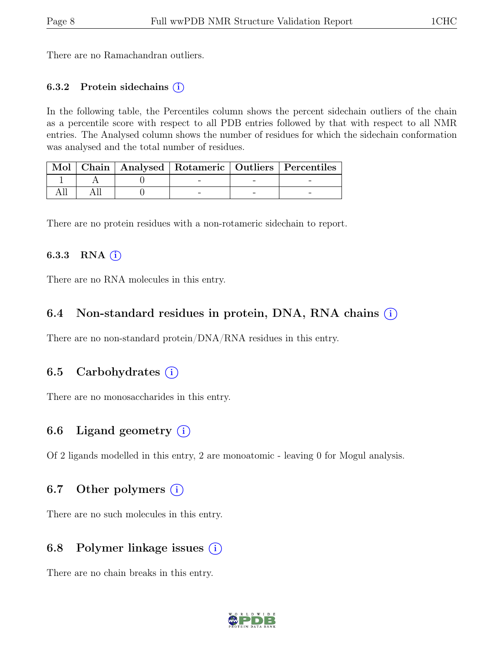There are no Ramachandran outliers.

#### 6.3.2 Protein sidechains  $(i)$

In the following table, the Percentiles column shows the percent sidechain outliers of the chain as a percentile score with respect to all PDB entries followed by that with respect to all NMR entries. The Analysed column shows the number of residues for which the sidechain conformation was analysed and the total number of residues.

|  |  | Mol   Chain   Analysed   Rotameric   Outliers   Percentiles |
|--|--|-------------------------------------------------------------|
|  |  |                                                             |
|  |  |                                                             |

There are no protein residues with a non-rotameric sidechain to report.

#### 6.3.3 RNA $(i)$

There are no RNA molecules in this entry.

### 6.4 Non-standard residues in protein, DNA, RNA chains (i)

There are no non-standard protein/DNA/RNA residues in this entry.

### 6.5 Carbohydrates  $(i)$

There are no monosaccharides in this entry.

### 6.6 Ligand geometry  $(i)$

Of 2 ligands modelled in this entry, 2 are monoatomic - leaving 0 for Mogul analysis.

### 6.7 Other polymers  $(i)$

There are no such molecules in this entry.

### 6.8 Polymer linkage issues  $(i)$

There are no chain breaks in this entry.